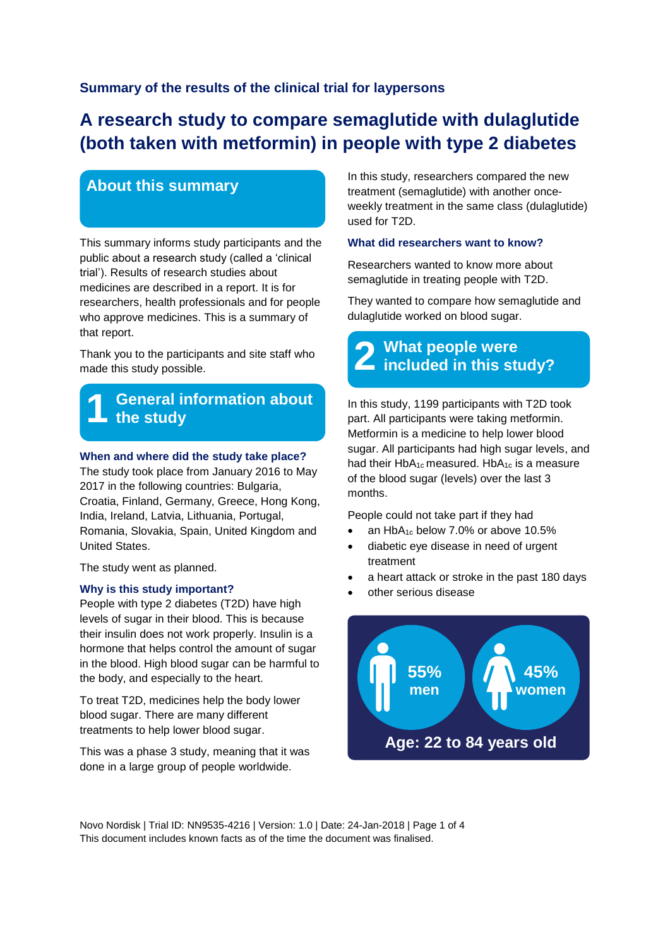## **Summary of the results of the clinical trial for laypersons**

# **A research study to compare semaglutide with dulaglutide (both taken with metformin) in people with type 2 diabetes**

## **About this summary**

This summary informs study participants and the public about a research study (called a 'clinical trial'). Results of research studies about medicines are described in a report. It is for researchers, health professionals and for people who approve medicines. This is a summary of that report.

Thank you to the participants and site staff who made this study possible.

#### **1 General information about the study**

#### **When and where did the study take place?**

The study took place from January 2016 to May 2017 in the following countries: Bulgaria, Croatia, Finland, Germany, Greece, Hong Kong, India, Ireland, Latvia, Lithuania, Portugal, Romania, Slovakia, Spain, United Kingdom and United States.

The study went as planned.

#### **Why is this study important?**

People with type 2 diabetes (T2D) have high levels of sugar in their blood. This is because their insulin does not work properly. Insulin is a hormone that helps control the amount of sugar in the blood. High blood sugar can be harmful to the body, and especially to the heart.

To treat T2D, medicines help the body lower blood sugar. There are many different treatments to help lower blood sugar.

This was a phase 3 study, meaning that it was done in a large group of people worldwide.

In this study, researchers compared the new treatment (semaglutide) with another onceweekly treatment in the same class (dulaglutide) used for T2D.

#### **What did researchers want to know?**

Researchers wanted to know more about semaglutide in treating people with T2D.

They wanted to compare how semaglutide and dulaglutide worked on blood sugar.

## **2 included in this study? What people were**

In this study, 1199 participants with T2D took part. All participants were taking metformin. Metformin is a medicine to help lower blood sugar. All participants had high sugar levels, and had their  $HbA_{1c}$  measured. Hb $A_{1c}$  is a measure of the blood sugar (levels) over the last 3 months.

People could not take part if they had

- an HbA<sub>1c</sub> below 7.0% or above 10.5%
- diabetic eye disease in need of urgent treatment
- a heart attack or stroke in the past 180 days
- other serious disease



Novo Nordisk | Trial ID: NN9535-4216 | Version: 1.0 | Date: 24-Jan-2018 | Page 1 of 4 This document includes known facts as of the time the document was finalised.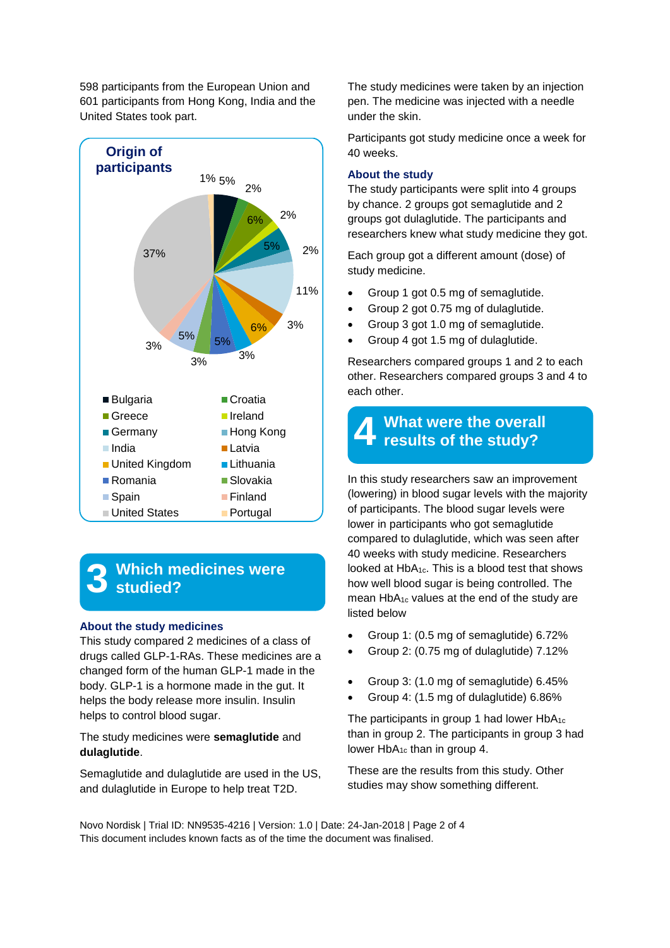598 participants from the European Union and 601 participants from Hong Kong, India and the United States took part.



#### **3 Which medicines were studied?**

#### **About the study medicines**

This study compared 2 medicines of a class of drugs called GLP-1-RAs. These medicines are a changed form of the human GLP-1 made in the body. GLP-1 is a hormone made in the gut. It helps the body release more insulin. Insulin helps to control blood sugar.

The study medicines were **semaglutide** and **dulaglutide**.

Semaglutide and dulaglutide are used in the US, and dulaglutide in Europe to help treat T2D.

The study medicines were taken by an injection pen. The medicine was injected with a needle under the skin.

Participants got study medicine once a week for 40 weeks.

#### **About the study**

The study participants were split into 4 groups by chance. 2 groups got semaglutide and 2 groups got dulaglutide. The participants and researchers knew what study medicine they got.

Each group got a different amount (dose) of study medicine.

- Group 1 got 0.5 mg of semaglutide.
- Group 2 got 0.75 mg of dulaglutide.
- Group 3 got 1.0 mg of semaglutide.
- Group 4 got 1.5 mg of dulaglutide.

Researchers compared groups 1 and 2 to each other. Researchers compared groups 3 and 4 to each other.

#### **4 What were the overall results of the study?**

In this study researchers saw an improvement (lowering) in blood sugar levels with the majority of participants. The blood sugar levels were lower in participants who got semaglutide compared to dulaglutide, which was seen after 40 weeks with study medicine. Researchers looked at  $HbA_{1c}$ . This is a blood test that shows how well blood sugar is being controlled. The mean HbA1c values at the end of the study are listed below

- Group 1: (0.5 mg of semaglutide) 6.72%
- Group 2: (0.75 mg of dulaglutide) 7.12%
- Group 3: (1.0 mg of semaglutide) 6.45%
- Group 4: (1.5 mg of dulaglutide) 6.86%

The participants in group 1 had lower HbA<sub>1c</sub> than in group 2. The participants in group 3 had lower  $HbA_{1c}$  than in group 4.

These are the results from this study. Other studies may show something different.

Novo Nordisk | Trial ID: NN9535-4216 | Version: 1.0 | Date: 24-Jan-2018 | Page 2 of 4 This document includes known facts as of the time the document was finalised.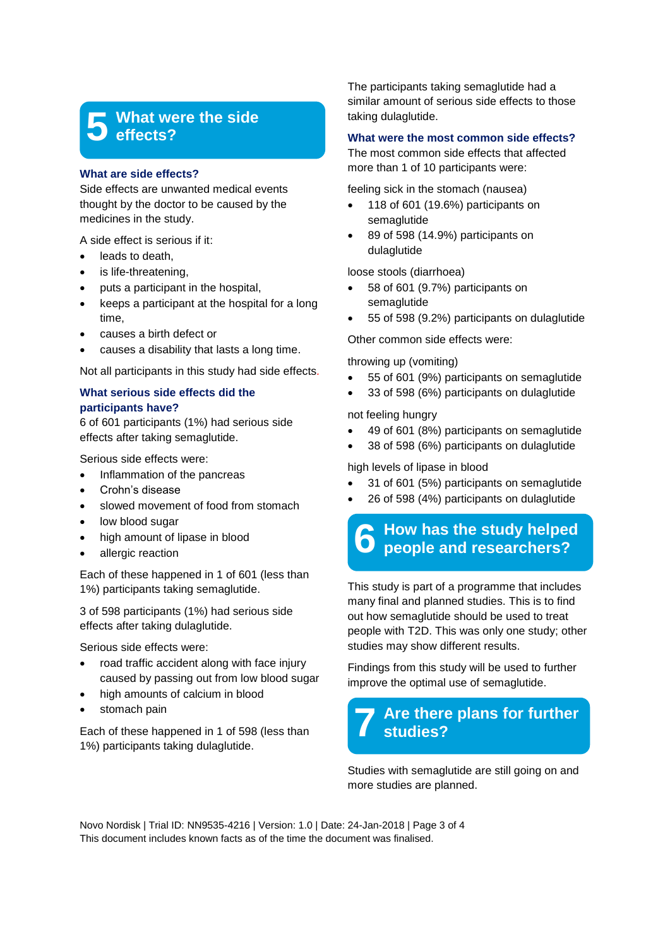#### **5 What were the side effects?**

#### **What are side effects?**

Side effects are unwanted medical events thought by the doctor to be caused by the medicines in the study.

A side effect is serious if it:

- leads to death.
- is life-threatening,
- puts a participant in the hospital,
- keeps a participant at the hospital for a long time,
- causes a birth defect or
- causes a disability that lasts a long time.

Not all participants in this study had side effects*.*

### **What serious side effects did the participants have?**

6 of 601 participants (1%) had serious side effects after taking semaglutide.

Serious side effects were:

- Inflammation of the pancreas
- Crohn's disease
- slowed movement of food from stomach
- low blood sugar
- high amount of lipase in blood
- allergic reaction

Each of these happened in 1 of 601 (less than 1%) participants taking semaglutide.

3 of 598 participants (1%) had serious side effects after taking dulaglutide.

Serious side effects were:

- road traffic accident along with face injury caused by passing out from low blood sugar
- high amounts of calcium in blood
- stomach pain

Each of these happened in 1 of 598 (less than 1%) participants taking dulaglutide.

The participants taking semaglutide had a similar amount of serious side effects to those taking dulaglutide.

#### **What were the most common side effects?**

The most common side effects that affected more than 1 of 10 participants were:

feeling sick in the stomach (nausea)

- 118 of 601 (19.6%) participants on semaglutide
- 89 of 598 (14.9%) participants on dulaglutide

loose stools (diarrhoea)

- 58 of 601 (9.7%) participants on semaglutide
- 55 of 598 (9.2%) participants on dulaglutide

Other common side effects were:

throwing up (vomiting)

- 55 of 601 (9%) participants on semaglutide
- 33 of 598 (6%) participants on dulaglutide

not feeling hungry

- 49 of 601 (8%) participants on semaglutide
- 38 of 598 (6%) participants on dulaglutide

high levels of lipase in blood

- 31 of 601 (5%) participants on semaglutide
- 26 of 598 (4%) participants on dulaglutide

#### **6 How has the study helped people and researchers?**

This study is part of a programme that includes many final and planned studies. This is to find out how semaglutide should be used to treat people with T2D. This was only one study; other studies may show different results.

Findings from this study will be used to further improve the optimal use of semaglutide.

#### **7 Are there plans for further studies?**

Studies with semaglutide are still going on and more studies are planned.

Novo Nordisk | Trial ID: NN9535-4216 | Version: 1.0 | Date: 24-Jan-2018 | Page 3 of 4 This document includes known facts as of the time the document was finalised.